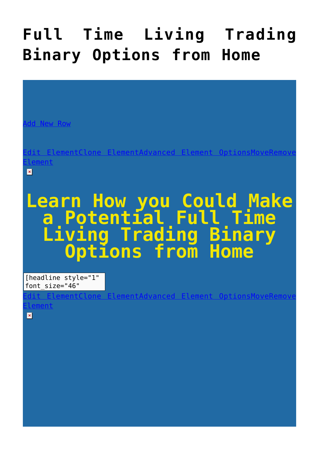## **[Full Time Living Trading](https://binaryoptionsauthority.com/free-binary-options-training/full-time-living-trading-binary-options-from-home/) [Binary Options from Home](https://binaryoptionsauthority.com/free-binary-options-training/full-time-living-trading-binary-options-from-home/)**

#### dd New Row

[Edit ElementClone ElementAdvanced Element OptionsMoveRemove](#page--1-0) [Element](#page--1-0)  $\overline{\mathbf{x}}$ 

## **Learn How you Could Make a Potential Full Time Living Trading Binary Options from Home**

[headline style="1" font size="46"

ementClone ElementAdvanced Element OptionsMoveRemov

#### [Element](#page--1-0)

 $\overline{\mathbf{x}}$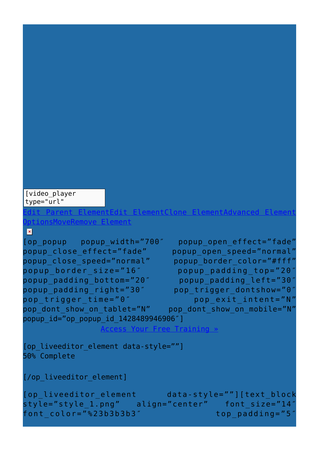```
[video_player
type="url"
dit Parent ElementEdit ElementClone ElementAdvanced Element
OptionsMoveRemove Element
\vert \mathbf{x} \vert[op_popup popup_width="700″ popup_open_effect="fade"
popup_close_effect="fade" popup_open_speed="normal"
popup close speed="normal" popup border color="#fff"
popup_border_size="16″ popup_padding_top="20″
popup_padding_bottom="20″ popup_padding_left="30″
popup padding right="30″ pop trigger dontshow="0″
pop_trigger_time="0″ pop_exit_intent="N"
pop_dont_show_on_tablet="N" pop_dont_show_on_mobile="N"
popup_id="op_popup_id_1428489946906″]
                ccess Your Free Training »
[op_liveeditor_element data-style=""]
50% Complete
[/op_liveeditor_element]
[op_liveeditor_element data-style=""][text_block
style="style 1.png" align="center" font size="14'
font_color="%23b3b3b3″ top_padding="5″
```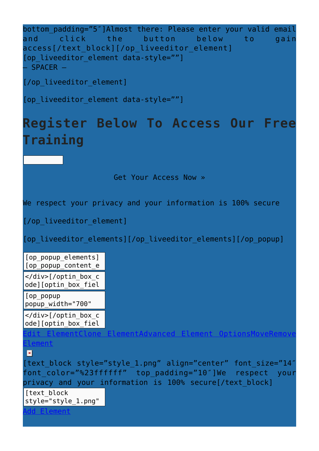bottom padding="5"]Almost there: Please enter your valid email and click the button below to gain access[/text block][/op liveeditor element] [op\_liveeditor\_element\_data-style=""] — SPACER —

[/op liveeditor element]

[op liveeditor element data-style=""]

### **Register Below To Access Our Free Training**

Get Your Access Now »

We respect your privacy and your information is 100% secure

[/op liveeditor element]

[op liveeditor elements][/op liveeditor elements][/op\_popup]

[op\_popup\_elements] [op\_popup\_content\_e

</div>[/optin box c ode][optin\_box\_fiel

[op\_popup popup\_width="700"

popup\_open\_effect=" </div>[/optin\_box\_c ode][optin\_box\_fiel

dit ElementClone ElementAdvanced Element OptionsMoveRemov

#### [Element](#page--1-0)

 $\overline{\mathbf{x}}$ 

[text\_block style="style\_1.png" align="center" font\_size="14″ font color="%23ffffff" top padding="10"]We respect your privacy and your information is 100% secure[/text\_block] [text block]

style="style\_1.png"

[Add Element](#page--1-0)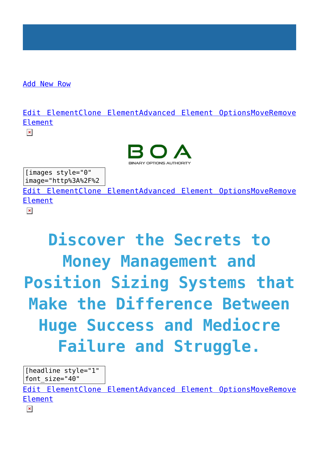[Add New Row](#page--1-0)

[Edit ElementClone ElementAdvanced Element OptionsMoveRemove](#page--1-0) [Element](#page--1-0)

 $\pmb{\times}$ 



[images style="0" image="http%3A%2F%2

[Edit ElementClone ElementAdvanced Element OptionsMoveRemove](#page--1-0) [Element](#page--1-0)  $\pmb{\times}$ 

# **Discover the Secrets to Money Management and Position Sizing Systems that Make the Difference Between Huge Success and Mediocre Failure and Struggle.**

[headline style="1" font\_size="40"

[Edit ElementClone ElementAdvanced Element OptionsMoveRemove](#page--1-0) [Element](#page--1-0)

 $\pmb{\times}$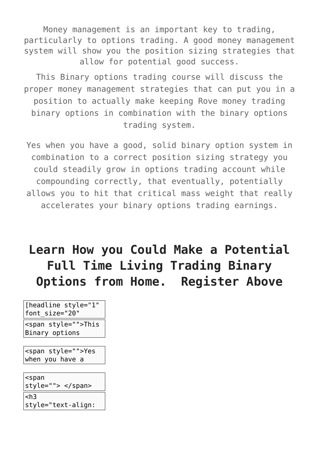Money management is an important key to trading, particularly to options trading. A good money management system will show you the position sizing strategies that allow for potential good success.

This Binary options trading course will discuss the proper money management strategies that can put you in a position to actually make keeping Rove money trading binary options in combination with the binary options trading system.

Yes when you have a good, solid binary option system in combination to a correct position sizing strategy you could steadily grow in options trading account while compounding correctly, that eventually, potentially allows you to hit that critical mass weight that really accelerates your binary options trading earnings.

### **Learn How you Could Make a Potential Full Time Living Trading Binary Options from Home. Register Above**

[headline style="1" font\_size="20"

 $\overline{\text{}}$  <span style="">This Binary options

<span style="">Yes when you have a

<span style=""> </span>  $<$ h3 style="text-align: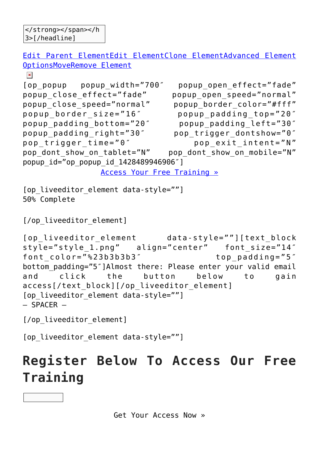```
Edit Parent ElementEdit ElementClone ElementAdvanced Element
OptionsMoveRemove Element
\pmb{\times}[op_popup popup_width="700″ popup_open_effect="fade"
popup close effect="fade" popup open speed="normal"
popup_close_speed="normal" popup border color="#fff"
popup_border_size="16″ popup_padding_top="20″
popup_padding_bottom="20″ popup_padding_left="30″
popup padding right="30″ pop trigger dontshow="0″
pop trigger time="0" pop exit intent="N"
pop dont show on tablet="N" pop dont show on mobile="N"
popup_id="op_popup_id_1428489946906″]
               Access Your Free Training »
[op liveeditor element data-style=""]
50% Complete
[/op liveeditor element]
[op_liveeditor_element data-style=""][text_block
style="style 1.png" align="center" font size="14"
font color="%23b3b3b3" top padding="5"
bottom_padding="5″]Almost there: Please enter your valid email
and click the button below to gain
access[/text block][/op liveeditor element]
[op liveeditor element data-style=""]
— SPACER —
[/op liveeditor element]
```
[op liveeditor element data-style=""]

### **Register Below To Access Our Free Training**

Get Your Access Now »